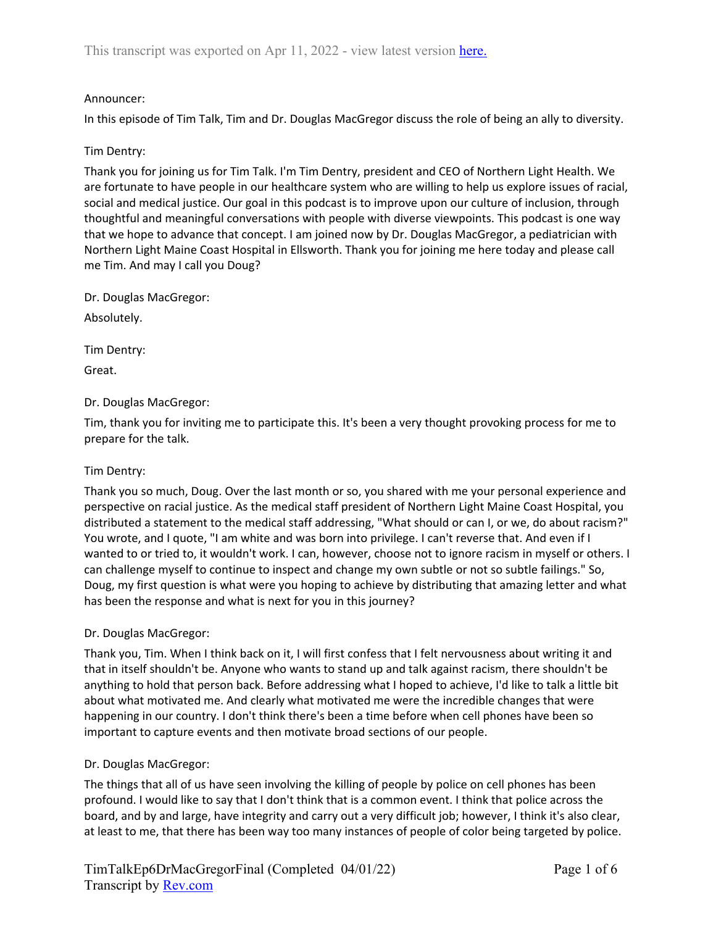## Announcer:

In this episode of Tim Talk, Tim and Dr. Douglas MacGregor discuss the role of being an ally to diversity.

## Tim Dentry:

Thank you for joining us for Tim Talk. I'm Tim Dentry, president and CEO of Northern Light Health. We are fortunate to have people in our healthcare system who are willing to help us explore issues of racial, social and medical justice. Our goal in this podcast is to improve upon our culture of inclusion, through thoughtful and meaningful conversations with people with diverse viewpoints. This podcast is one way that we hope to advance that concept. I am joined now by Dr. Douglas MacGregor, a pediatrician with Northern Light Maine Coast Hospital in Ellsworth. Thank you for joining me here today and please call me Tim. And may I call you Doug?

Dr. Douglas MacGregor:

Absolutely.

Tim Dentry:

Great.

## Dr. Douglas MacGregor:

Tim, thank you for inviting me to participate this. It's been a very thought provoking process for me to prepare for the talk.

### Tim Dentry:

Thank you so much, Doug. Over the last month or so, you shared with me your personal experience and perspective on racial justice. As the medical staff president of Northern Light Maine Coast Hospital, you distributed a statement to the medical staff addressing, "What should or can I, or we, do about racism?" You wrote, and I quote, "I am white and was born into privilege. I can't reverse that. And even if I wanted to or tried to, it wouldn't work. I can, however, choose not to ignore racism in myself or others. I can challenge myself to continue to inspect and change my own subtle or not so subtle failings." So, Doug, my first question is what were you hoping to achieve by distributing that amazing letter and what has been the response and what is next for you in this journey?

### Dr. Douglas MacGregor:

Thank you, Tim. When I think back on it, I will first confess that I felt nervousness about writing it and that in itself shouldn't be. Anyone who wants to stand up and talk against racism, there shouldn't be anything to hold that person back. Before addressing what I hoped to achieve, I'd like to talk a little bit about what motivated me. And clearly what motivated me were the incredible changes that were happening in our country. I don't think there's been a time before when cell phones have been so important to capture events and then motivate broad sections of our people.

# Dr. Douglas MacGregor:

The things that all of us have seen involving the killing of people by police on cell phones has been profound. I would like to say that I don't think that is a common event. I think that police across the board, and by and large, have integrity and carry out a very difficult job; however, I think it's also clear, at least to me, that there has been way too many instances of people of color being targeted by police.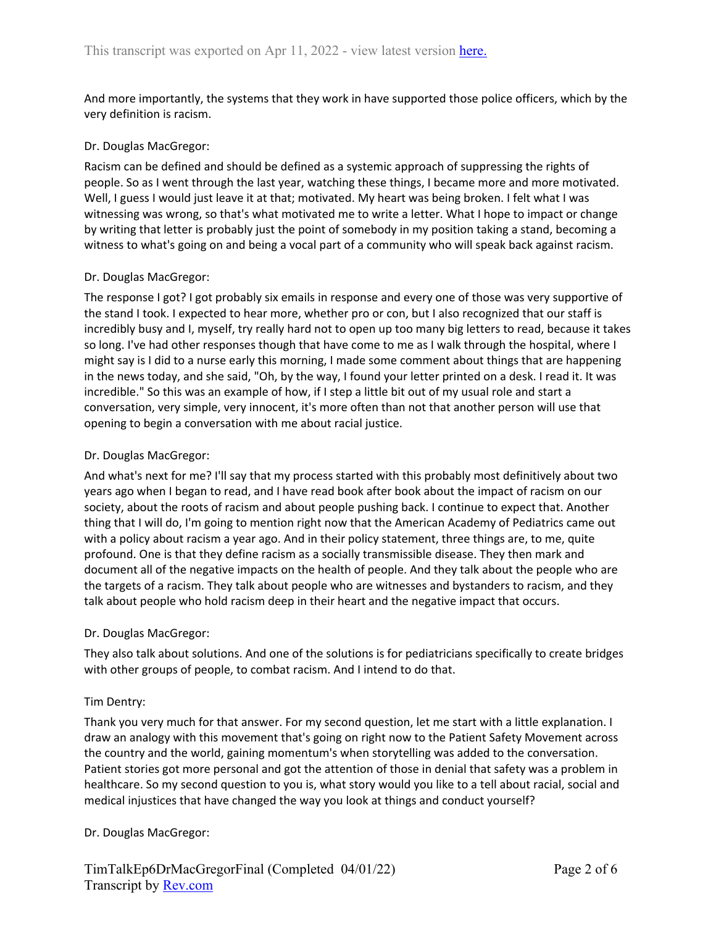And more importantly, the systems that they work in have supported those police officers, which by the very definition is racism.

## Dr. Douglas MacGregor:

Racism can be defined and should be defined as a systemic approach of suppressing the rights of people. So as I went through the last year, watching these things, I became more and more motivated. Well, I guess I would just leave it at that; motivated. My heart was being broken. I felt what I was witnessing was wrong, so that's what motivated me to write a letter. What I hope to impact or change by writing that letter is probably just the point of somebody in my position taking a stand, becoming a witness to what's going on and being a vocal part of a community who will speak back against racism.

## Dr. Douglas MacGregor:

The response I got? I got probably six emails in response and every one of those was very supportive of the stand I took. I expected to hear more, whether pro or con, but I also recognized that our staff is incredibly busy and I, myself, try really hard not to open up too many big letters to read, because it takes so long. I've had other responses though that have come to me as I walk through the hospital, where I might say is I did to a nurse early this morning, I made some comment about things that are happening in the news today, and she said, "Oh, by the way, I found your letter printed on a desk. I read it. It was incredible." So this was an example of how, if I step a little bit out of my usual role and start a conversation, very simple, very innocent, it's more often than not that another person will use that opening to begin a conversation with me about racial justice.

## Dr. Douglas MacGregor:

And what's next for me? I'll say that my process started with this probably most definitively about two years ago when I began to read, and I have read book after book about the impact of racism on our society, about the roots of racism and about people pushing back. I continue to expect that. Another thing that I will do, I'm going to mention right now that the American Academy of Pediatrics came out with a policy about racism a year ago. And in their policy statement, three things are, to me, quite profound. One is that they define racism as a socially transmissible disease. They then mark and document all of the negative impacts on the health of people. And they talk about the people who are the targets of a racism. They talk about people who are witnesses and bystanders to racism, and they talk about people who hold racism deep in their heart and the negative impact that occurs.

### Dr. Douglas MacGregor:

They also talk about solutions. And one of the solutions is for pediatricians specifically to create bridges with other groups of people, to combat racism. And I intend to do that.

# Tim Dentry:

Thank you very much for that answer. For my second question, let me start with a little explanation. I draw an analogy with this movement that's going on right now to the Patient Safety Movement across the country and the world, gaining momentum's when storytelling was added to the conversation. Patient stories got more personal and got the attention of those in denial that safety was a problem in healthcare. So my second question to you is, what story would you like to a tell about racial, social and medical injustices that have changed the way you look at things and conduct yourself?

# Dr. Douglas MacGregor: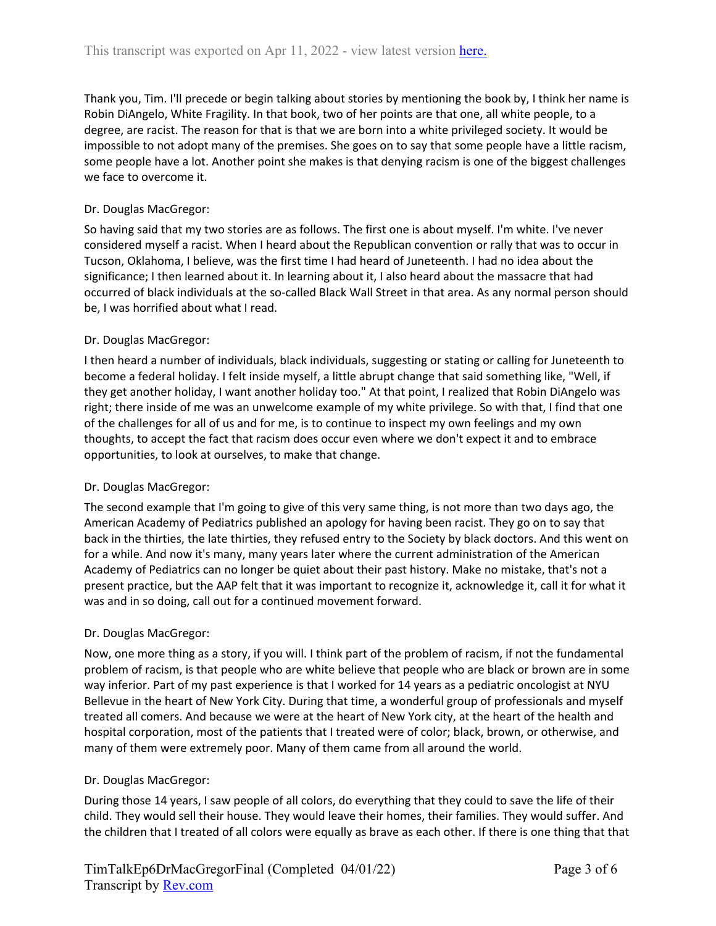Thank you, Tim. I'll precede or begin talking about stories by mentioning the book by, I think her name is Robin DiAngelo, White Fragility. In that book, two of her points are that one, all white people, to a degree, are racist. The reason for that is that we are born into a white privileged society. It would be impossible to not adopt many of the premises. She goes on to say that some people have a little racism, some people have a lot. Another point she makes is that denying racism is one of the biggest challenges we face to overcome it.

# Dr. Douglas MacGregor:

So having said that my two stories are as follows. The first one is about myself. I'm white. I've never considered myself a racist. When I heard about the Republican convention or rally that was to occur in Tucson, Oklahoma, I believe, was the first time I had heard of Juneteenth. I had no idea about the significance; I then learned about it. In learning about it, I also heard about the massacre that had occurred of black individuals at the so-called Black Wall Street in that area. As any normal person should be, I was horrified about what I read.

# Dr. Douglas MacGregor:

I then heard a number of individuals, black individuals, suggesting or stating or calling for Juneteenth to become a federal holiday. I felt inside myself, a little abrupt change that said something like, "Well, if they get another holiday, I want another holiday too." At that point, I realized that Robin DiAngelo was right; there inside of me was an unwelcome example of my white privilege. So with that, I find that one of the challenges for all of us and for me, is to continue to inspect my own feelings and my own thoughts, to accept the fact that racism does occur even where we don't expect it and to embrace opportunities, to look at ourselves, to make that change.

# Dr. Douglas MacGregor:

The second example that I'm going to give of this very same thing, is not more than two days ago, the American Academy of Pediatrics published an apology for having been racist. They go on to say that back in the thirties, the late thirties, they refused entry to the Society by black doctors. And this went on for a while. And now it's many, many years later where the current administration of the American Academy of Pediatrics can no longer be quiet about their past history. Make no mistake, that's not a present practice, but the AAP felt that it was important to recognize it, acknowledge it, call it for what it was and in so doing, call out for a continued movement forward.

# Dr. Douglas MacGregor:

Now, one more thing as a story, if you will. I think part of the problem of racism, if not the fundamental problem of racism, is that people who are white believe that people who are black or brown are in some way inferior. Part of my past experience is that I worked for 14 years as a pediatric oncologist at NYU Bellevue in the heart of New York City. During that time, a wonderful group of professionals and myself treated all comers. And because we were at the heart of New York city, at the heart of the health and hospital corporation, most of the patients that I treated were of color; black, brown, or otherwise, and many of them were extremely poor. Many of them came from all around the world.

# Dr. Douglas MacGregor:

During those 14 years, I saw people of all colors, do everything that they could to save the life of their child. They would sell their house. They would leave their homes, their families. They would suffer. And the children that I treated of all colors were equally as brave as each other. If there is one thing that that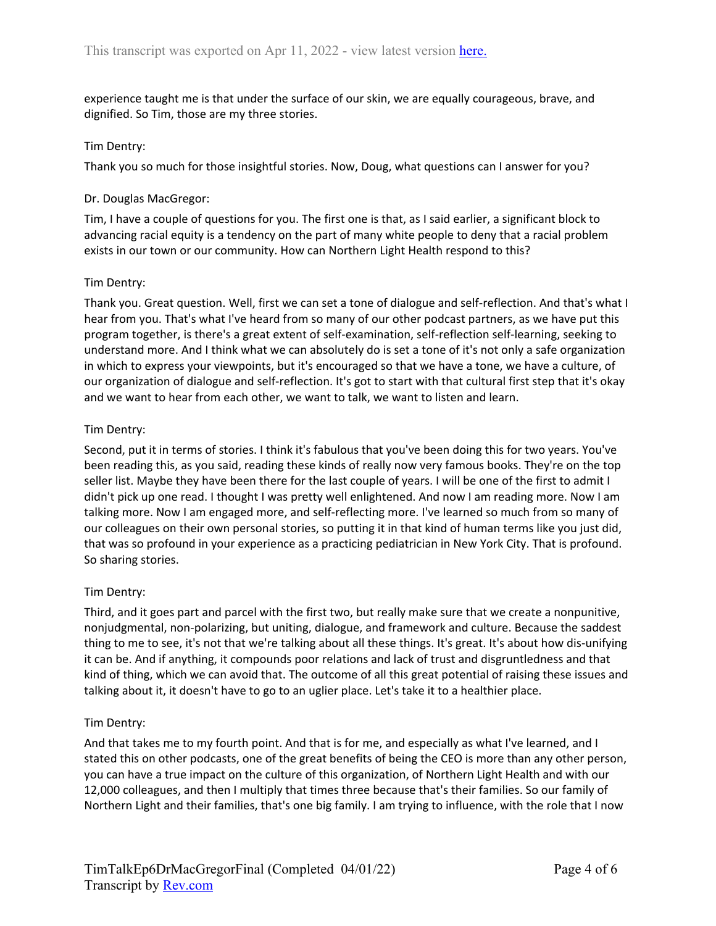experience taught me is that under the surface of our skin, we are equally courageous, brave, and dignified. So Tim, those are my three stories.

### Tim Dentry:

Thank you so much for those insightful stories. Now, Doug, what questions can I answer for you?

### Dr. Douglas MacGregor:

Tim, I have a couple of questions for you. The first one is that, as I said earlier, a significant block to advancing racial equity is a tendency on the part of many white people to deny that a racial problem exists in our town or our community. How can Northern Light Health respond to this?

## Tim Dentry:

Thank you. Great question. Well, first we can set a tone of dialogue and self-reflection. And that's what I hear from you. That's what I've heard from so many of our other podcast partners, as we have put this program together, is there's a great extent of self-examination, self-reflection self-learning, seeking to understand more. And I think what we can absolutely do is set a tone of it's not only a safe organization in which to express your viewpoints, but it's encouraged so that we have a tone, we have a culture, of our organization of dialogue and self-reflection. It's got to start with that cultural first step that it's okay and we want to hear from each other, we want to talk, we want to listen and learn.

## Tim Dentry:

Second, put it in terms of stories. I think it's fabulous that you've been doing this for two years. You've been reading this, as you said, reading these kinds of really now very famous books. They're on the top seller list. Maybe they have been there for the last couple of years. I will be one of the first to admit I didn't pick up one read. I thought I was pretty well enlightened. And now I am reading more. Now I am talking more. Now I am engaged more, and self-reflecting more. I've learned so much from so many of our colleagues on their own personal stories, so putting it in that kind of human terms like you just did, that was so profound in your experience as a practicing pediatrician in New York City. That is profound. So sharing stories.

# Tim Dentry:

Third, and it goes part and parcel with the first two, but really make sure that we create a nonpunitive, nonjudgmental, non-polarizing, but uniting, dialogue, and framework and culture. Because the saddest thing to me to see, it's not that we're talking about all these things. It's great. It's about how dis-unifying it can be. And if anything, it compounds poor relations and lack of trust and disgruntledness and that kind of thing, which we can avoid that. The outcome of all this great potential of raising these issues and talking about it, it doesn't have to go to an uglier place. Let's take it to a healthier place.

# Tim Dentry:

And that takes me to my fourth point. And that is for me, and especially as what I've learned, and I stated this on other podcasts, one of the great benefits of being the CEO is more than any other person, you can have a true impact on the culture of this organization, of Northern Light Health and with our 12,000 colleagues, and then I multiply that times three because that's their families. So our family of Northern Light and their families, that's one big family. I am trying to influence, with the role that I now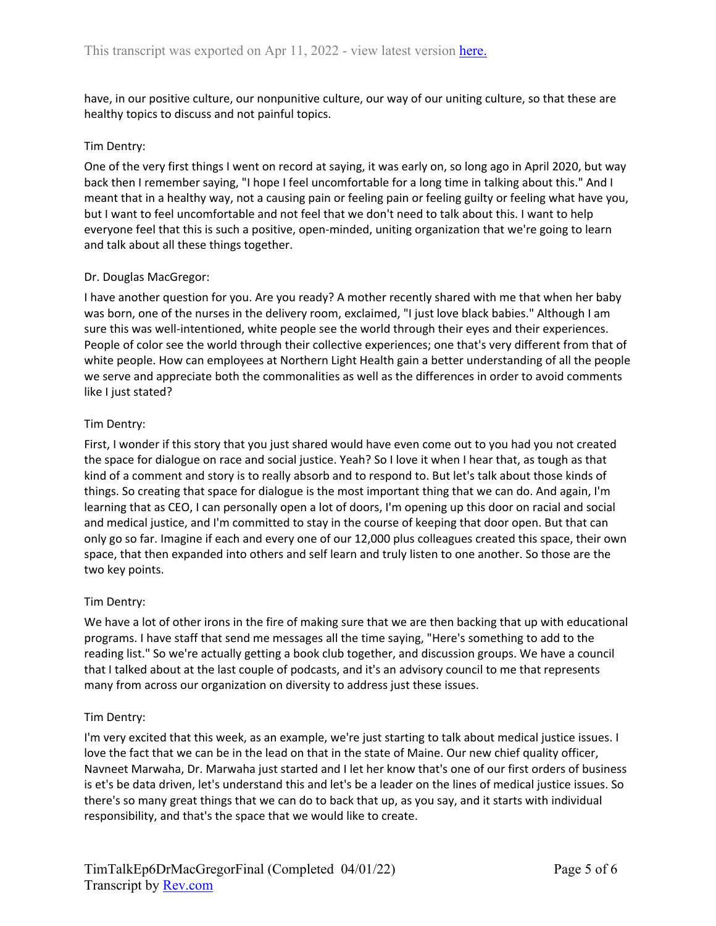have, in our positive culture, our nonpunitive culture, our way of our uniting culture, so that these are healthy topics to discuss and not painful topics.

## Tim Dentry:

One of the very first things I went on record at saying, it was early on, so long ago in April 2020, but way back then I remember saying, "I hope I feel uncomfortable for a long time in talking about this." And I meant that in a healthy way, not a causing pain or feeling pain or feeling guilty or feeling what have you, but I want to feel uncomfortable and not feel that we don't need to talk about this. I want to help everyone feel that this is such a positive, open-minded, uniting organization that we're going to learn and talk about all these things together.

## Dr. Douglas MacGregor:

I have another question for you. Are you ready? A mother recently shared with me that when her baby was born, one of the nurses in the delivery room, exclaimed, "I just love black babies." Although I am sure this was well-intentioned, white people see the world through their eyes and their experiences. People of color see the world through their collective experiences; one that's very different from that of white people. How can employees at Northern Light Health gain a better understanding of all the people we serve and appreciate both the commonalities as well as the differences in order to avoid comments like I just stated?

### Tim Dentry:

First, I wonder if this story that you just shared would have even come out to you had you not created the space for dialogue on race and social justice. Yeah? So I love it when I hear that, as tough as that kind of a comment and story is to really absorb and to respond to. But let's talk about those kinds of things. So creating that space for dialogue is the most important thing that we can do. And again, I'm learning that as CEO, I can personally open a lot of doors, I'm opening up this door on racial and social and medical justice, and I'm committed to stay in the course of keeping that door open. But that can only go so far. Imagine if each and every one of our 12,000 plus colleagues created this space, their own space, that then expanded into others and self learn and truly listen to one another. So those are the two key points.

### Tim Dentry:

We have a lot of other irons in the fire of making sure that we are then backing that up with educational programs. I have staff that send me messages all the time saying, "Here's something to add to the reading list." So we're actually getting a book club together, and discussion groups. We have a council that I talked about at the last couple of podcasts, and it's an advisory council to me that represents many from across our organization on diversity to address just these issues.

### Tim Dentry:

I'm very excited that this week, as an example, we're just starting to talk about medical justice issues. I love the fact that we can be in the lead on that in the state of Maine. Our new chief quality officer, Navneet Marwaha, Dr. Marwaha just started and I let her know that's one of our first orders of business is et's be data driven, let's understand this and let's be a leader on the lines of medical justice issues. So there's so many great things that we can do to back that up, as you say, and it starts with individual responsibility, and that's the space that we would like to create.